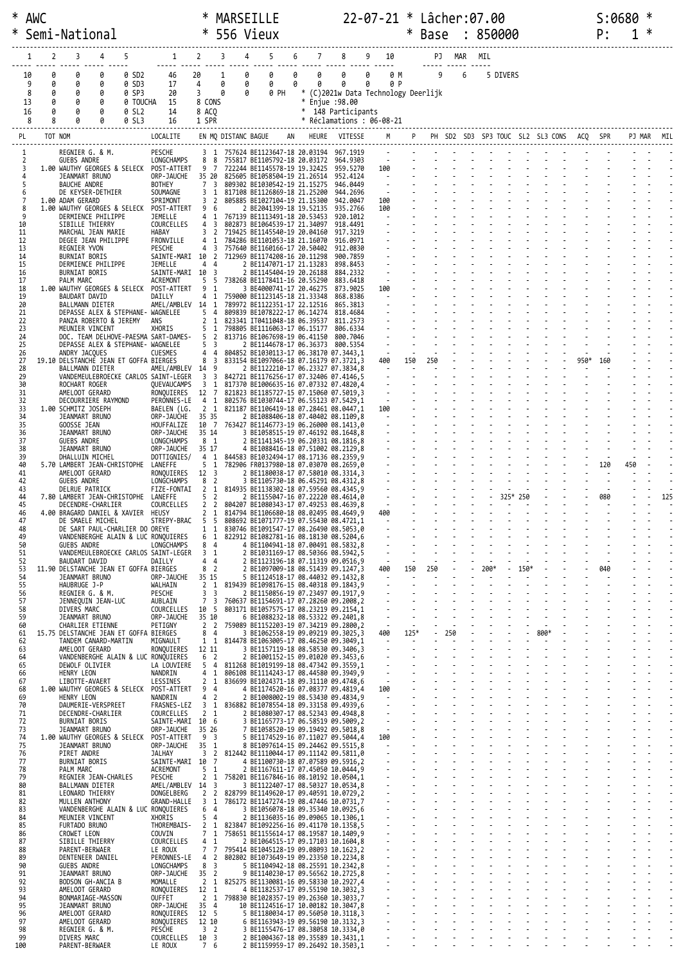| $*$<br>∗ | AWC                      |              | Semi-National                                               |                       |                                              |                                                                                                                  | ∗                                      |                                |             | MARSEILLE<br>556 Vieux                                                                                                |        |                                                  |                                                              |        |                                                                                               | ∗   | 22-07-21 * Lâcher:07.00<br>Base                                                                                                                                                                                                                                                                                                                  |                                  |   | : 850000 |                                                                                                |     |      | S:0680<br>P: |     | ∗ |     |
|----------|--------------------------|--------------|-------------------------------------------------------------|-----------------------|----------------------------------------------|------------------------------------------------------------------------------------------------------------------|----------------------------------------|--------------------------------|-------------|-----------------------------------------------------------------------------------------------------------------------|--------|--------------------------------------------------|--------------------------------------------------------------|--------|-----------------------------------------------------------------------------------------------|-----|--------------------------------------------------------------------------------------------------------------------------------------------------------------------------------------------------------------------------------------------------------------------------------------------------------------------------------------------------|----------------------------------|---|----------|------------------------------------------------------------------------------------------------|-----|------|--------------|-----|---|-----|
|          |                          | 2            | 3                                                           | 4                     |                                              | 1                                                                                                                | $\overline{2}$                         | 3                              |             | 5                                                                                                                     | 6      |                                                  |                                                              |        | 10                                                                                            |     |                                                                                                                                                                                                                                                                                                                                                  | PJ MAR MIL                       |   |          |                                                                                                |     |      |              |     |   |     |
|          | 10<br>9<br>8<br>13<br>16 | 0<br>ø<br>0  | 0<br>Ø<br>0<br>0<br>Ø                                       | 0<br>0<br>0<br>0<br>0 | 0 SD2<br>0 SD3<br>0 SP3<br>0 TOUCHA<br>0 SL2 | 46<br>17<br>20<br>15<br>14                                                                                       | 20<br>4<br>3<br>8 CONS<br>8 ACQ        | 1<br>0<br>0                    | 0<br>0<br>0 | 0<br>0<br>0 PH                                                                                                        | 0<br>0 | 0<br>0<br>$\ast$<br>$\ast$<br>* 148 Participants | 0<br>0<br>(C)2021w Data Technology Deerlijk<br>Enjue : 98.00 | 0<br>0 | 0 M<br>0 P                                                                                    |     | 9                                                                                                                                                                                                                                                                                                                                                |                                  | 6 | 5 DIVERS |                                                                                                |     |      |              |     |   |     |
|          | 8<br>PL                  | 8<br>TOT NOM |                                                             |                       | 0 SL3                                        | 16<br>LOCALITE                                                                                                   | 1 SPR                                  |                                |             | EN MQ DISTANC BAGUE                                                                                                   |        | * Réclamations : 06-08-21                        | HEURE VITESSE                                                |        |                                                                                               |     |                                                                                                                                                                                                                                                                                                                                                  |                                  |   |          | PH SD2 SD3 SP3 TOUC SL2 SL3 CONS                                                               | ACQ |      |              |     |   |     |
|          | 1                        |              | REGNIER G. & M.                                             |                       |                                              | PESCHE                                                                                                           |                                        |                                |             | 3 1 757624 BE1123647-18 20.03194 967.1919                                                                             |        |                                                  |                                                              |        |                                                                                               |     |                                                                                                                                                                                                                                                                                                                                                  |                                  |   |          |                                                                                                |     |      |              |     |   |     |
|          | 2<br>3                   |              | <b>GUEBS ANDRE</b>                                          |                       |                                              | LONGCHAMPS<br>1.00 WAUTHY GEORGES & SELECK POST-ATTERT                                                           | 8 8<br>9 7                             |                                |             | 755817 BE1105792-18 20.03172<br>722244 BE1145578-19 19.32425                                                          |        |                                                  | 964.9303<br>959.5270                                         |        | $\sim$<br>100                                                                                 |     |                                                                                                                                                                                                                                                                                                                                                  |                                  |   |          |                                                                                                |     |      |              |     |   |     |
|          | 4<br>5                   |              | JEANMART BRUNO<br><b>BAUCHE ANDRE</b>                       |                       |                                              | ORP-JAUCHE<br><b>BOTHEY</b>                                                                                      | 35 20<br>7 <sup>3</sup>                |                                |             | 825605 BE1058504-19 21.26514<br>809302 BE1030542-19 21.15275                                                          |        |                                                  | 952.4124<br>946.0449                                         |        | $\sim 100$                                                                                    |     |                                                                                                                                                                                                                                                                                                                                                  |                                  |   |          |                                                                                                |     |      |              |     |   |     |
|          | 6<br>7                   |              | DE KEYSER-DETHIER<br>1.00 ADAM GERARD                       |                       |                                              | SOUMAGNE<br>SPRIMONT                                                                                             | 3 <sub>2</sub>                         | 3 1                            |             | 817108 BE1126869-18 21.25200<br>805885 BE1027104-19 21.15300                                                          |        |                                                  | 944.2696<br>942.0047                                         |        | 100                                                                                           |     |                                                                                                                                                                                                                                                                                                                                                  |                                  |   |          |                                                                                                |     |      |              |     |   |     |
|          | 8<br>9                   |              | 1.00 WAUTHY GEORGES & SELECK<br>DERMIENCE PHILIPPE          |                       |                                              | POST-ATTERT<br>JEMELLE                                                                                           | 9 6<br>4 1                             |                                |             | 2 BE2041399-18 19.52135<br>767139 BE1113491-18 20.53453                                                               |        |                                                  | 935.2766<br>920.1012                                         |        | 100                                                                                           |     |                                                                                                                                                                                                                                                                                                                                                  |                                  |   |          |                                                                                                |     |      |              |     |   |     |
|          | 10<br>11                 |              | SIBILLE THIERRY<br>MARCHAL JEAN MARIE                       |                       |                                              | COURCELLES<br>HABAY                                                                                              | $4 \overline{3}$<br>3                  | $\overline{2}$                 |             | 802873 BE1064539-17 21.34097<br>719425 BE1145540-19 20.04160                                                          |        |                                                  | 918.4491<br>917.3219                                         |        |                                                                                               |     |                                                                                                                                                                                                                                                                                                                                                  |                                  |   |          |                                                                                                |     |      |              |     |   |     |
|          | 12<br>13                 |              | DEGEE JEAN PHILIPPE<br>REGNIER YVON                         |                       |                                              | FRONVILLE<br>PESCHE                                                                                              | 4<br>4                                 | -1<br>3                        |             | 784286 BE1101053-18 21.16070<br>757640 BE1160166-17 20.50402                                                          |        |                                                  | 916.0971<br>912.0830                                         |        |                                                                                               |     |                                                                                                                                                                                                                                                                                                                                                  |                                  |   |          |                                                                                                |     |      |              |     |   |     |
|          | 14<br>15                 |              | <b>BURNIAT BORIS</b><br>DERMIENCE PHILIPPE                  |                       |                                              | SAINTE-MARI 10 2 712969 BE1174208-16 20.11298<br>JEMELLE<br>SAINTE-MARI 10 3                                     | 4 4                                    |                                |             | 2 BE1147071-17 21.13283                                                                                               |        |                                                  | 900.7859<br>898.8453                                         |        |                                                                                               |     |                                                                                                                                                                                                                                                                                                                                                  |                                  |   |          |                                                                                                |     |      |              |     |   |     |
| 17       | 16<br>18                 |              | BURNIAT BORIS<br>PALM MARC<br>1.00 WAUTHY GEORGES & SELECK  |                       |                                              | <b>ACREMONT</b><br>POST-ATTERT                                                                                   | 5<br>9                                 | 5<br>- 1                       |             | 2 BE1145404-19 20.26188<br>738268 BE1178411-16 20.55290<br>3 BE4000741-17 20.46275                                    |        |                                                  | 884.2332<br>883.6418<br>873.9025                             |        | 100                                                                                           |     |                                                                                                                                                                                                                                                                                                                                                  |                                  |   |          |                                                                                                |     |      |              |     |   |     |
|          | 19<br>20                 |              | <b>BAUDART DAVID</b><br>BALLMANN DIETER                     |                       |                                              | DAILLY<br>AMEL/AMBLEV 14 1                                                                                       | 4                                      | 1                              |             | 759000 BE1123145-18 21.33348<br>789972 BE1122351-17 22.12516                                                          |        |                                                  | 868.8386<br>865.3813                                         |        | $\sim$                                                                                        |     |                                                                                                                                                                                                                                                                                                                                                  |                                  |   |          |                                                                                                |     |      |              |     |   |     |
|          | 21<br>22                 |              | DEPASSE ALEX & STEPHANE- WAGNELEE<br>PANZA ROBERTO & JEREMY |                       |                                              | ans                                                                                                              | 5<br>2 <sub>1</sub>                    | $\overline{4}$                 |             | 809839 BE1078222-17 06.14274<br>823341 IT0411048-18 06.39537                                                          |        |                                                  | 818.4684<br>811.2573                                         |        |                                                                                               |     |                                                                                                                                                                                                                                                                                                                                                  |                                  |   |          |                                                                                                |     |      |              |     |   |     |
|          | 23<br>24                 |              | MEUNIER VINCENT                                             |                       |                                              | XHORIS<br>DOC. TEAM DELHOVE-PAESMA SART-DAMES-                                                                   | 5                                      | 1<br>5 2                       |             | 798805 BE1116063-17 06.15177<br>813716 BE1067698-19 06.41150                                                          |        |                                                  | 806.6334<br>800.7046                                         |        |                                                                                               |     |                                                                                                                                                                                                                                                                                                                                                  |                                  |   |          |                                                                                                |     |      |              |     |   |     |
|          | 25<br>26                 |              | DEPASSE ALEX & STEPHANE- WAGNELEE<br>ANDRY JACQUES          |                       |                                              | CUESMES                                                                                                          | 5 <sup>3</sup>                         | 4 4                            |             | 2 BE1144678-17 06.36373 800.5354<br>804852 BE1030113-17 06.38170 07.3443,1                                            |        |                                                  |                                                              |        | $\sim$                                                                                        |     |                                                                                                                                                                                                                                                                                                                                                  |                                  |   |          |                                                                                                |     |      |              |     |   |     |
| 27       | 28                       |              | 19.10 DELSTANCHE JEAN ET GOFFA BIERGES<br>BALLMANN DIETER   |                       |                                              | AMEL/AMBLEV 14 9                                                                                                 |                                        | 8 3                            |             | 833154 BE1097066-18 07.16179 07.3721,3<br>2 BE1122210-17 06.23327 07.3834,8                                           |        |                                                  |                                                              |        | 400<br>$\overline{\phantom{a}}$                                                               | 150 | 250                                                                                                                                                                                                                                                                                                                                              |                                  |   |          |                                                                                                |     | 950* | 160          |     |   |     |
|          | 29<br>30                 |              | ROCHART ROGER                                               |                       |                                              | VANDEMEULEBROECKE CARLOS SAINT-LEGER<br>QUEVAUCAMPS                                                              | 3                                      | 3 <sup>3</sup><br>$\mathbf{1}$ |             | 842721 BE1176256-17 07.32406 07.4146,5<br>817370 BE1006635-16 07.07332 07.4820,4                                      |        |                                                  |                                                              |        |                                                                                               |     |                                                                                                                                                                                                                                                                                                                                                  |                                  |   |          |                                                                                                |     |      |              |     |   |     |
|          | 31<br>32                 |              | AMELOOT GERARD<br>DECOURRIERE RAYMOND                       |                       |                                              | RONQUIERES<br>PERONNES-LE                                                                                        | 12                                     | 7                              |             | 821823 BE1185727-15 07.15060 07.5019,3<br>4 1 802576 BE1030744-17 06.55123 07.5429,1                                  |        |                                                  |                                                              |        | $\sim$<br>$\sim$                                                                              |     |                                                                                                                                                                                                                                                                                                                                                  |                                  |   |          |                                                                                                |     |      |              |     |   |     |
|          | 33<br>34                 |              | 1.00 SCHMITZ JOSEPH<br>JEANMART BRUNO                       |                       |                                              | BAELEN (LG.<br>ORP-JAUCHE                                                                                        | 2 1<br>35 35                           |                                |             | 821187 BE1106419-18 07.28461 08.0447,1<br>2 BE1088406-18 07.40402 08.1109,8                                           |        |                                                  |                                                              |        | 100<br>$\sim$                                                                                 |     |                                                                                                                                                                                                                                                                                                                                                  |                                  |   |          |                                                                                                |     |      |              |     |   |     |
|          | 35<br>36                 |              | GOOSSE JEAN<br>JEANMART BRUNO                               |                       |                                              | HOUFFALIZE<br>ORP-JAUCHE                                                                                         | 10 7<br>35 14                          |                                |             | 763427 BE1146773-19 06.26000 08.1413,0<br>3 BE1058515-19 07.46192 08.1648,8                                           |        |                                                  |                                                              |        |                                                                                               |     |                                                                                                                                                                                                                                                                                                                                                  |                                  |   |          |                                                                                                |     |      |              |     |   |     |
|          | 37<br>38                 |              | GUEBS ANDRE<br>JEANMART BRUNO                               |                       |                                              | LONGCHAMPS<br>ORP-JAUCHE                                                                                         | 8 <sub>1</sub><br>35 17                |                                |             | 2 BE1141345-19 06.20331 08.1816,8<br>4 BE1088416-18 07.51002 08.2129,8                                                |        |                                                  |                                                              |        |                                                                                               |     |                                                                                                                                                                                                                                                                                                                                                  |                                  |   |          |                                                                                                |     |      |              |     |   |     |
|          | 39<br>40                 |              | DHALLUIN MICHEL<br>5.70 LAMBERT JEAN-CHRISTOPHE             |                       |                                              | DOTTIGNIES/<br>LANEFFE                                                                                           | 4<br>5                                 | 1<br>1                         |             | 844583 BE1032494-17 08.17136 08.2359,9<br>782906 FR0137980-18 07.03070 08.2659,0                                      |        |                                                  |                                                              |        |                                                                                               |     |                                                                                                                                                                                                                                                                                                                                                  |                                  |   |          |                                                                                                |     |      | 120          | 450 |   |     |
|          | 41<br>42<br>43           |              | AMELOOT GERARD<br><b>GUEBS ANDRE</b><br>DELRUE PATRICK      |                       |                                              | RONQUIERES<br>LONGCHAMPS<br>FIZE-FONTAI                                                                          | 12 <sup>3</sup><br>8<br>$\overline{2}$ | $\overline{2}$<br>1            |             | 2 BE1180038-17 07.58010 08.3314,3<br>3 BE1105730-18 06.45291 08.4312,8<br>814935 BE1138302-18 07.59560 08.4345,9      |        |                                                  |                                                              |        |                                                                                               |     |                                                                                                                                                                                                                                                                                                                                                  |                                  |   |          |                                                                                                |     |      |              |     |   |     |
|          | 44<br>45                 |              | 7.80 LAMBERT JEAN-CHRISTOPHE<br>DECENDRE-CHARLIER           |                       |                                              | LANEFFE<br>COURCELLES                                                                                            | 5<br>2 <sub>2</sub>                    | $\overline{2}$                 |             | 2 BE1155047-16 07.22220 08.4614,0<br>804207 BE1080343-17 07.49253 08.4639,8                                           |        |                                                  |                                                              |        |                                                                                               |     |                                                                                                                                                                                                                                                                                                                                                  |                                  |   | 325* 250 |                                                                                                |     |      | 080          |     |   | 125 |
|          | 46<br>47                 |              | 4.00 BRAGARD DANIEL & XAVIER<br>DE SMAELE MICHEL            |                       |                                              | HEUSY<br>STREPY-BRAC 5 5 808692 BE1071777-19 07.55430 08.4721,1                                                  | 2 <sub>1</sub>                         |                                |             | 814794 BE1106680-18 08.02495 08.4649,9                                                                                |        |                                                  |                                                              |        | 400                                                                                           |     |                                                                                                                                                                                                                                                                                                                                                  |                                  |   |          |                                                                                                |     |      |              |     |   |     |
|          | 48<br>49                 |              |                                                             |                       |                                              | DE SART PAUL-CHARLIER DO OREYE<br>VANDENBERGHE ALAIN & LUC RONQUIERES 6 1 822912 BE1082781-16 08.18130 08.5204,6 |                                        |                                |             | 1 1 830746 BE1091547-17 08.26490 08.5053,0                                                                            |        |                                                  |                                                              |        |                                                                                               |     |                                                                                                                                                                                                                                                                                                                                                  |                                  |   |          |                                                                                                |     |      |              |     |   |     |
|          | 50<br>51                 |              | <b>GUEBS ANDRE</b>                                          |                       |                                              | LONGCHAMPS 8 4<br>VANDEMEULEBROECKE CARLOS SAINT-LEGER 3 1                                                       |                                        |                                |             | 4 BE1104941-18 07.00491 08.5832,8<br>2 BE1031169-17 08.50366 08.5942,5                                                |        |                                                  |                                                              |        |                                                                                               |     |                                                                                                                                                                                                                                                                                                                                                  |                                  |   |          |                                                                                                |     |      |              |     |   |     |
|          | 52<br>53                 |              | BAUDART DAVID<br>11.90 DELSTANCHE JEAN ET GOFFA BIERGES     |                       |                                              | DAILLY                                                                                                           | 44<br>8 <sup>2</sup>                   |                                |             | 2 BE1123196-18 07.11319 09.0516,9<br>2 BE1097009-18 08.51439 09.1247,3                                                |        |                                                  |                                                              |        |                                                                                               |     |                                                                                                                                                                                                                                                                                                                                                  |                                  |   |          |                                                                                                |     |      |              |     |   |     |
|          | 54<br>55                 |              | JEANMART BRUNO<br>HAUBRUGE J-P                              |                       |                                              | ORP-JAUCHE 35 15<br>WALHAIN                                                                                      |                                        |                                |             | 5 BE1124518-17 08.44032 09.1432,8<br>2 1 819439 BE1098176-15 08.40318 09.1843,9                                       |        |                                                  |                                                              |        |                                                                                               |     | $\frac{1}{2}$<br>$\frac{1}{2}$<br>$\frac{1}{2}$<br>$\frac{1}{2}$<br>$\frac{1}{2}$<br>$\frac{1}{2}$<br>$\frac{1}{2}$<br>$\frac{1}{2}$<br>$\frac{1}{2}$<br>$\frac{1}{2}$<br>$\frac{1}{2}$<br>$\frac{1}{2}$<br>$\frac{1}{2}$<br>$\frac{1}{2}$<br>$\frac{1}{2}$<br>$\frac{1}{2}$<br>$\frac{1}{2}$<br>$\frac{1}{2}$<br>$\frac{1}{2}$<br>$\frac{1}{2}$ |                                  |   |          |                                                                                                |     |      |              |     |   |     |
|          | 56<br>57                 |              | REGNIER G. & M.<br>JENNEQUIN JEAN-LUC                       |                       |                                              | PESCHE<br>AUBLAIN                                                                                                | 3 <sup>3</sup>                         |                                |             | 2 BE1150856-19 07.23497 09.1917,9<br>7 3 760637 BE1154691-17 07.28260 09.2008,2                                       |        |                                                  |                                                              |        |                                                                                               |     |                                                                                                                                                                                                                                                                                                                                                  |                                  |   |          | and a strain and a strain and                                                                  |     |      |              |     |   |     |
|          | 58<br>59                 |              | DIVERS MARC<br>JEANMART BRUNO                               |                       |                                              | COURCELLES 10 5 803171 BE1057575-17 08.23219 09.2154,1<br>ORP-JAUCHE 35 10                                       |                                        |                                |             | 6 BE1088232-18 08.53322 09.2401,8                                                                                     |        |                                                  |                                                              |        |                                                                                               |     |                                                                                                                                                                                                                                                                                                                                                  |                                  |   |          |                                                                                                |     |      |              |     |   |     |
|          | 60<br>61                 |              | CHARLIER ETIENNE<br>15.75 DELSTANCHE JEAN ET GOFFA BIERGES  |                       |                                              | PETIGNY                                                                                                          |                                        | 8 4                            |             | 2 2 759089 BE1152203-19 07.34219 09.2800,2<br>3 BE1062558-19 09.09219 09.3025,3                                       |        |                                                  |                                                              |        |                                                                                               |     |                                                                                                                                                                                                                                                                                                                                                  |                                  |   |          |                                                                                                |     |      |              |     |   |     |
|          | 62<br>63                 |              | TANDEM CANARD-MARTIN<br>AMELOOT GERARD                      |                       |                                              | MIGNAULT<br>RONQUIERES 12 11                                                                                     |                                        |                                |             | 1 1 814478 BE1063005-17 08.46250 09.3049,1<br>3 BE1157119-18 08.58530 09.3406,3                                       |        |                                                  |                                                              |        | $\mathcal{L}(\mathcal{A})$ and $\mathcal{L}(\mathcal{A})$ . In the $\mathcal{L}(\mathcal{A})$ |     |                                                                                                                                                                                                                                                                                                                                                  | $\Delta \phi = 0.000$ and $\phi$ |   |          | and a straight for the control of<br>1919 1919 1920<br>1920 1921 1922 1922 1923 1924 1925 1926 |     |      |              |     |   |     |
|          | 64<br>65                 |              | DEWOLF OLIVIER                                              |                       |                                              | VANDENBERGHE ALAIN & LUC RONQUIERES<br>LA LOUVIERE 5 4 811268 BE1019199-18 08.47342 09.3559,1                    | 6 2                                    |                                |             | 2 BE1001152-15 09.01020 09.3453,6                                                                                     |        |                                                  |                                                              |        |                                                                                               |     |                                                                                                                                                                                                                                                                                                                                                  |                                  |   |          |                                                                                                |     |      |              |     |   |     |
|          | 66<br>67<br>68           |              | HENRY LEON<br>LIBOTTE-AVAERT                                |                       |                                              | NANDRIN<br>LESSINES<br>1.00 WAUTHY GEORGES & SELECK POST-ATTERT 9 4                                              |                                        |                                |             | 4 1 806108 BE1114243-17 08.44580 09.3949,9<br>2 1 836699 BE1024371-18 09.31110 09.4748,6                              |        |                                                  |                                                              |        |                                                                                               |     |                                                                                                                                                                                                                                                                                                                                                  |                                  |   |          |                                                                                                |     |      |              |     |   |     |
|          | 69<br>70                 |              | HENRY LEON<br>DAUMERIE-VERSPREET                            |                       |                                              | NANDRIN<br>FRASNES-LEZ 3 1 836882 BE1078554-18 09.33158 09.4939,6                                                | 4 <sub>2</sub>                         |                                |             | 4 BE1174520-16 07.08377 09.4819,4<br>2 BE1008002-19 08.53430 09.4834,9                                                |        |                                                  |                                                              |        |                                                                                               |     |                                                                                                                                                                                                                                                                                                                                                  |                                  |   |          |                                                                                                |     |      |              |     |   |     |
|          | 71<br>72                 |              | DECENDRE-CHARLIER<br>BURNIAT BORIS                          |                       |                                              | COURCELLES<br>SAINTE-MARI 10 6                                                                                   | 2 <sub>1</sub>                         |                                |             | 2 BE1080307-17 08.52343 09.4948,8<br>3 BE1165773-17 06.58519 09.5009,2                                                |        |                                                  |                                                              |        |                                                                                               |     |                                                                                                                                                                                                                                                                                                                                                  |                                  |   |          |                                                                                                |     |      |              |     |   |     |
|          | 73<br>74                 |              | JEANMART BRUNO                                              |                       |                                              | ORP-JAUCHE 35 26<br>1.00 WAUTHY GEORGES & SELECK POST-ATTERT 9 3                                                 |                                        |                                |             | 7 BE1058520-19 09.19492 09.5018,8<br>5 BE1174529-16 07.11027 09.5044,4                                                |        |                                                  |                                                              |        |                                                                                               |     |                                                                                                                                                                                                                                                                                                                                                  |                                  |   |          |                                                                                                |     |      |              |     |   |     |
|          | 75<br>76                 |              | JEANMART BRUNO<br>PIRET ANDRE                               |                       |                                              | ORP-JAUCHE 35 1<br><b>JALHAY</b>                                                                                 |                                        |                                |             | 8 BE1097614-15 09.24462 09.5515,8<br>3 2 812442 BE1110044-17 09.11142 09.5811,0                                       |        |                                                  |                                                              |        |                                                                                               |     |                                                                                                                                                                                                                                                                                                                                                  |                                  |   |          |                                                                                                |     |      |              |     |   |     |
|          | 77<br>78                 |              | BURNIAT BORIS<br>PALM MARC                                  |                       |                                              | SAINTE-MARI 10 7<br><b>ACREMONT</b>                                                                              | 5 <sub>1</sub>                         |                                |             | 4 BE1100730-18 07.07589 09.5916,2<br>2 BE1167611-17 07.45050 10.0444,9                                                |        |                                                  |                                                              |        |                                                                                               |     |                                                                                                                                                                                                                                                                                                                                                  |                                  |   |          |                                                                                                |     |      |              |     |   |     |
|          | 79<br>80                 |              | REGNIER JEAN-CHARLES<br>BALLMANN DIETER                     |                       |                                              | PESCHE<br>AMEL/AMBLEV 14 3                                                                                       |                                        |                                |             | 2 1 758201 BE1167846-16 08.10192 10.0504,1<br>3 BE1122407-17 08.50327 10.0534,8                                       |        |                                                  |                                                              |        |                                                                                               |     |                                                                                                                                                                                                                                                                                                                                                  |                                  |   |          |                                                                                                |     |      |              |     |   |     |
|          | 81<br>82                 |              | LEONARD THIERRY<br>MULLEN ANTHONY                           |                       |                                              | DONGELBERG 2 2 828799 BE1149620-17 09.40591 10.0729,2<br>GRAND-HALLE 3 1 786172 BE1147274-19 08.47446 10.0731,7  |                                        |                                |             |                                                                                                                       |        |                                                  |                                                              |        |                                                                                               |     |                                                                                                                                                                                                                                                                                                                                                  |                                  |   |          |                                                                                                |     |      |              |     |   |     |
|          | 83<br>84                 |              | MEUNIER VINCENT                                             |                       |                                              | VANDENBERGHE ALAIN & LUC RONQUIERES 64<br>XHORIS                                                                 | 5 <sub>4</sub>                         |                                |             | 3 BE1056078-18 09.35340 10.0925,6<br>2 BE1136035-16 09.09065 10.1306,1                                                |        |                                                  |                                                              |        |                                                                                               |     |                                                                                                                                                                                                                                                                                                                                                  |                                  |   |          |                                                                                                |     |      |              |     |   |     |
|          | 85<br>86                 |              | FURTADO BRUNO<br>CROWET LEON                                |                       |                                              | THOREMBAIS- 2 1 823847 BE1092256-16 09.41170 10.1358,5<br>COUVIN                                                 |                                        |                                |             | 7 1 758651 BE1155614-17 08.19587 10.1409,9                                                                            |        |                                                  |                                                              |        |                                                                                               |     |                                                                                                                                                                                                                                                                                                                                                  |                                  |   |          |                                                                                                |     |      |              |     |   |     |
|          | 87<br>88                 |              | SIBILLE THIERRY<br>PARENT-BERWAER                           |                       |                                              | COURCELLES<br>LE ROUX                                                                                            |                                        | $4\quad1$                      |             | 2 BE1064515-17 09.17103 10.1604,8<br>7 7 795414 BE1045128-19 09.08093 10.1623,2                                       |        |                                                  |                                                              |        |                                                                                               |     |                                                                                                                                                                                                                                                                                                                                                  |                                  |   |          |                                                                                                |     |      |              |     |   |     |
|          | 89<br>90                 |              | DENTENEER DANIEL<br>GUEBS ANDRE                             |                       |                                              | PERONNES-LE 4 2 802802 BE1073649-19 09.23350 10.2234,8<br>LONGCHAMPS                                             | 8 <sup>3</sup>                         |                                |             | 5 BE1104942-18 08.25591 10.2342,8                                                                                     |        |                                                  |                                                              |        |                                                                                               |     |                                                                                                                                                                                                                                                                                                                                                  |                                  |   |          |                                                                                                |     |      |              |     |   |     |
|          | 91<br>92                 |              | JEANMART BRUNO<br>BODSON GH-ANCIA B                         |                       |                                              | ORP-JAUCHE<br>MOMALLE                                                                                            | 35 <sub>2</sub>                        |                                |             | 9 BE1140230-17 09.56562 10.2725,8<br>2 1 825275 BE1130081-16 09.58330 10.2927,4                                       |        |                                                  |                                                              |        |                                                                                               |     |                                                                                                                                                                                                                                                                                                                                                  |                                  |   |          |                                                                                                |     |      |              |     |   |     |
|          | 93<br>94<br>95           |              | AMELOOT GERARD<br>BONMARIAGE-MASSON                         |                       |                                              | RONQUIERES 12 1<br><b>OUFFET</b><br>ORP-JAUCHE                                                                   | 35 4                                   |                                |             | 4 BE1182537-17 09.55190 10.3032,3<br>2 1 798830 BE1028357-19 09.26360 10.3033,7<br>10 BE1124516-17 10.00182 10.3047,8 |        |                                                  |                                                              |        |                                                                                               |     |                                                                                                                                                                                                                                                                                                                                                  |                                  |   |          |                                                                                                |     |      |              |     |   |     |
|          | 96<br>97                 |              | JEANMART BRUNO<br>AMELOOT GERARD<br>AMELOOT GERARD          |                       |                                              | RONQUIERES 12 5<br>RONOUIERES 12 10                                                                              |                                        |                                |             | 5 BE1180034-17 09.56050 10.3118,3<br>6 BE1163943-19 09.56190 10.3132,3                                                |        |                                                  |                                                              |        |                                                                                               |     |                                                                                                                                                                                                                                                                                                                                                  |                                  |   |          |                                                                                                |     |      |              |     |   |     |
|          | 98<br>99                 |              | REGNIER G. & M.<br>DIVERS MARC                              |                       |                                              | PESCHE<br>COURCELLES 10 3                                                                                        | 3 <sub>2</sub>                         |                                |             | 3 BE1155476-17 08.38058 10.3334,0<br>2 BE1004367-18 09.35589 10.3431,1                                                |        |                                                  |                                                              |        |                                                                                               |     |                                                                                                                                                                                                                                                                                                                                                  |                                  |   |          |                                                                                                |     |      |              |     |   |     |
| 100      |                          |              | PARENT-BERWAER                                              |                       |                                              | LE ROUX                                                                                                          | 7 6                                    |                                |             | 2 BE1159959-17 09.26492 10.3503,1                                                                                     |        |                                                  |                                                              |        |                                                                                               |     |                                                                                                                                                                                                                                                                                                                                                  |                                  |   |          |                                                                                                |     |      |              |     |   |     |